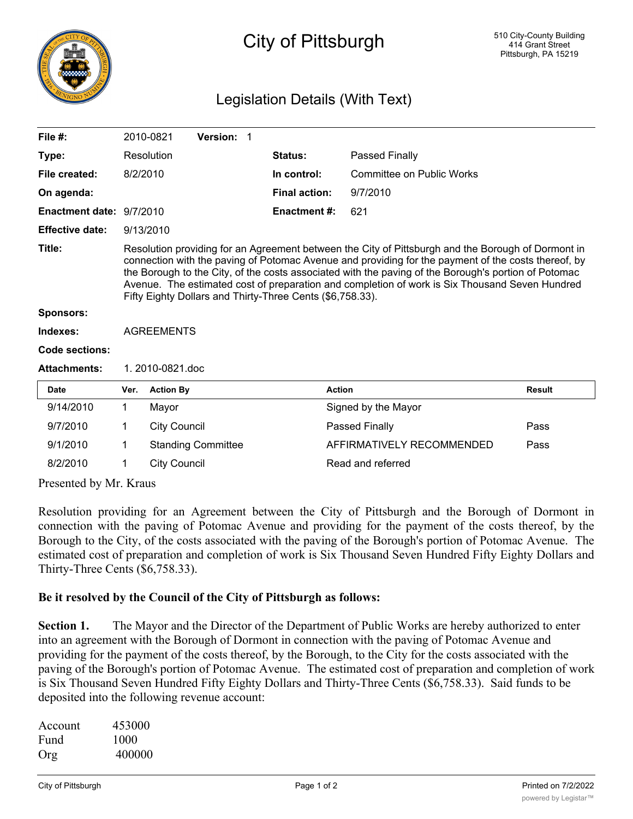

## City of Pittsburgh

## Legislation Details (With Text)

| File $#$ :                                                                                                             |                                                                                                                                                                                                                                                                                                                                                                                                                                                                                  | 2010-0821           | Version: 1                |                      |                           |               |
|------------------------------------------------------------------------------------------------------------------------|----------------------------------------------------------------------------------------------------------------------------------------------------------------------------------------------------------------------------------------------------------------------------------------------------------------------------------------------------------------------------------------------------------------------------------------------------------------------------------|---------------------|---------------------------|----------------------|---------------------------|---------------|
| Type:                                                                                                                  |                                                                                                                                                                                                                                                                                                                                                                                                                                                                                  | Resolution          |                           | Status:              | Passed Finally            |               |
| File created:                                                                                                          | 8/2/2010                                                                                                                                                                                                                                                                                                                                                                                                                                                                         |                     |                           | In control:          | Committee on Public Works |               |
| On agenda:                                                                                                             |                                                                                                                                                                                                                                                                                                                                                                                                                                                                                  |                     |                           | <b>Final action:</b> | 9/7/2010                  |               |
| Enactment date: 9/7/2010                                                                                               |                                                                                                                                                                                                                                                                                                                                                                                                                                                                                  |                     |                           | <b>Enactment#:</b>   | 621                       |               |
| <b>Effective date:</b>                                                                                                 | 9/13/2010                                                                                                                                                                                                                                                                                                                                                                                                                                                                        |                     |                           |                      |                           |               |
| Title:                                                                                                                 | Resolution providing for an Agreement between the City of Pittsburgh and the Borough of Dormont in<br>connection with the paving of Potomac Avenue and providing for the payment of the costs thereof, by<br>the Borough to the City, of the costs associated with the paving of the Borough's portion of Potomac<br>Avenue. The estimated cost of preparation and completion of work is Six Thousand Seven Hundred<br>Fifty Eighty Dollars and Thirty-Three Cents (\$6,758.33). |                     |                           |                      |                           |               |
| <b>Sponsors:</b>                                                                                                       |                                                                                                                                                                                                                                                                                                                                                                                                                                                                                  |                     |                           |                      |                           |               |
| Indexes:                                                                                                               | <b>AGREEMENTS</b>                                                                                                                                                                                                                                                                                                                                                                                                                                                                |                     |                           |                      |                           |               |
| <b>Code sections:</b>                                                                                                  |                                                                                                                                                                                                                                                                                                                                                                                                                                                                                  |                     |                           |                      |                           |               |
| <b>Attachments:</b>                                                                                                    | 1. 2010-0821.doc                                                                                                                                                                                                                                                                                                                                                                                                                                                                 |                     |                           |                      |                           |               |
| Date                                                                                                                   | Ver.                                                                                                                                                                                                                                                                                                                                                                                                                                                                             | <b>Action By</b>    |                           |                      | <b>Action</b>             | <b>Result</b> |
| 9/14/2010                                                                                                              | 1                                                                                                                                                                                                                                                                                                                                                                                                                                                                                | Mayor               |                           |                      | Signed by the Mayor       |               |
| 9/7/2010                                                                                                               | 1                                                                                                                                                                                                                                                                                                                                                                                                                                                                                | <b>City Council</b> |                           |                      | <b>Passed Finally</b>     | Pass          |
| 9/1/2010                                                                                                               | 1                                                                                                                                                                                                                                                                                                                                                                                                                                                                                |                     | <b>Standing Committee</b> |                      | AFFIRMATIVELY RECOMMENDED | Pass          |
| 8/2/2010                                                                                                               | 1                                                                                                                                                                                                                                                                                                                                                                                                                                                                                | <b>City Council</b> |                           |                      | Read and referred         |               |
| $\mathbf{D}_{\text{max}}$ $\mathbf{L} = \mathbf{1} \mathbf{1}$ , $\mathbf{M}_{\text{max}}$ , $\mathbf{V}_{\text{max}}$ |                                                                                                                                                                                                                                                                                                                                                                                                                                                                                  |                     |                           |                      |                           |               |

Presented by Mr. Kraus

Resolution providing for an Agreement between the City of Pittsburgh and the Borough of Dormont in connection with the paving of Potomac Avenue and providing for the payment of the costs thereof, by the Borough to the City, of the costs associated with the paving of the Borough's portion of Potomac Avenue. The estimated cost of preparation and completion of work is Six Thousand Seven Hundred Fifty Eighty Dollars and Thirty-Three Cents (\$6,758.33).

## **Be it resolved by the Council of the City of Pittsburgh as follows:**

**Section 1.** The Mayor and the Director of the Department of Public Works are hereby authorized to enter into an agreement with the Borough of Dormont in connection with the paving of Potomac Avenue and providing for the payment of the costs thereof, by the Borough, to the City for the costs associated with the paving of the Borough's portion of Potomac Avenue. The estimated cost of preparation and completion of work is Six Thousand Seven Hundred Fifty Eighty Dollars and Thirty-Three Cents (\$6,758.33). Said funds to be deposited into the following revenue account:

| Account | 453000 |
|---------|--------|
| Fund    | 1000   |
| Org     | 400000 |